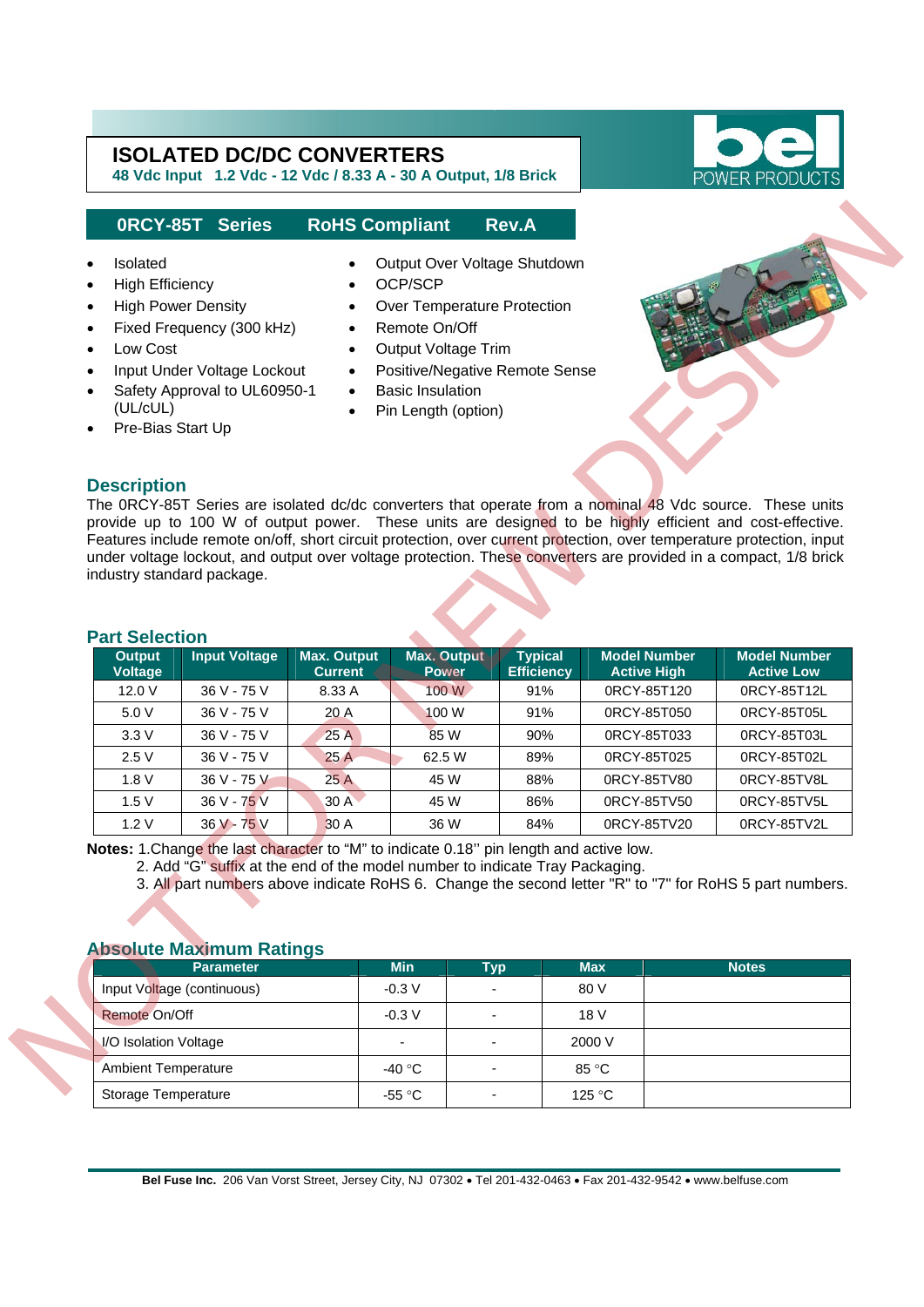**48 Vdc Input 1.2 Vdc - 12 Vdc / 8.33 A - 30 A Output, 1/8 Brick** 



#### **0RCY-85T Series RoHS Compliant Rev.A**

- 
- High Efficiency OCP/SCP
- 
- Fixed Frequency (300 kHz) Remote On/Off
- 
- Input Under Voltage Lockout • Safety Approval to UL60950-1 (UL/cUL)
- Pre-Bias Start Up
- Isolated Output Over Voltage Shutdown
	-
- High Power Density Over Temperature Protection
	-
- **Low Cost Cutput Voltage Trim** 
	- Positive/Negative Remote Sense
	- **Basic Insulation**
	- Pin Length (option)



#### **Part Selection**

|                                                                                              | ORCY-85T Series                                                                                                                                                                                            |                        | <b>RoHS Compliant</b>                                                                                                                                                                              | <b>Rev.A</b>                        |                                                                                                                                                                                                                                                                                                                                                                                                                                                                   |                                                                                                                            |
|----------------------------------------------------------------------------------------------|------------------------------------------------------------------------------------------------------------------------------------------------------------------------------------------------------------|------------------------|----------------------------------------------------------------------------------------------------------------------------------------------------------------------------------------------------|-------------------------------------|-------------------------------------------------------------------------------------------------------------------------------------------------------------------------------------------------------------------------------------------------------------------------------------------------------------------------------------------------------------------------------------------------------------------------------------------------------------------|----------------------------------------------------------------------------------------------------------------------------|
| Isolated<br><b>High Efficiency</b><br>$\bullet$<br>Low Cost<br>(UL/cUL)<br>Pre-Bias Start Up | <b>High Power Density</b><br>Fixed Frequency (300 kHz)<br>Input Under Voltage Lockout<br>Safety Approval to UL60950-1                                                                                      | $\bullet$<br>$\bullet$ | Output Over Voltage Shutdown<br>OCP/SCP<br>Over Temperature Protection<br>Remote On/Off<br>Output Voltage Trim<br>Positive/Negative Remote Sense<br><b>Basic Insulation</b><br>Pin Length (option) |                                     |                                                                                                                                                                                                                                                                                                                                                                                                                                                                   |                                                                                                                            |
| <b>Description</b><br><b>Part Selection</b>                                                  | industry standard package.                                                                                                                                                                                 |                        |                                                                                                                                                                                                    |                                     | The 0RCY-85T Series are isolated dc/dc converters that operate from a nominal 48 Vdc source. These units<br>provide up to 100 W of output power. These units are designed to be highly efficient and cost-effective.<br>Features include remote on/off, short circuit protection, over current protection, over temperature protection, input<br>under voltage lockout, and output over voltage protection. These converters are provided in a compact, 1/8 brick |                                                                                                                            |
| <b>Output</b>                                                                                | <b>Input Voltage</b>                                                                                                                                                                                       | <b>Max. Output</b>     | <b>Max. Output</b><br><b>Power</b>                                                                                                                                                                 | <b>Typical</b><br><b>Efficiency</b> | <b>Model Number</b><br><b>Active High</b>                                                                                                                                                                                                                                                                                                                                                                                                                         | <b>Model Number</b>                                                                                                        |
|                                                                                              |                                                                                                                                                                                                            | <b>Current</b>         |                                                                                                                                                                                                    |                                     |                                                                                                                                                                                                                                                                                                                                                                                                                                                                   |                                                                                                                            |
| <b>Voltage</b>                                                                               |                                                                                                                                                                                                            | 8.33 A                 |                                                                                                                                                                                                    | 91%                                 |                                                                                                                                                                                                                                                                                                                                                                                                                                                                   |                                                                                                                            |
| 12.0 V<br>5.0 V                                                                              | 36 V - 75 V<br>36 V - 75 V                                                                                                                                                                                 | 20 A                   | 100 W<br>100 W                                                                                                                                                                                     | 91%                                 | 0RCY-85T120<br>0RCY-85T050                                                                                                                                                                                                                                                                                                                                                                                                                                        |                                                                                                                            |
| 3.3V                                                                                         | 36 V - 75 V                                                                                                                                                                                                | 25A                    | 85 W                                                                                                                                                                                               | 90%                                 | 0RCY-85T033                                                                                                                                                                                                                                                                                                                                                                                                                                                       |                                                                                                                            |
| 2.5V                                                                                         | 36 V - 75 V                                                                                                                                                                                                | 25 A                   | 62.5 W                                                                                                                                                                                             | 89%                                 | 0RCY-85T025                                                                                                                                                                                                                                                                                                                                                                                                                                                       |                                                                                                                            |
| 1.8 V                                                                                        | 36 V - 75 V                                                                                                                                                                                                | 25A                    | 45 W                                                                                                                                                                                               | 88%                                 | 0RCY-85TV80                                                                                                                                                                                                                                                                                                                                                                                                                                                       |                                                                                                                            |
| 1.5V                                                                                         | 36 V - 75 V                                                                                                                                                                                                | 30 A                   | 45 W                                                                                                                                                                                               | 86%                                 | 0RCY-85TV50                                                                                                                                                                                                                                                                                                                                                                                                                                                       |                                                                                                                            |
| 1.2V                                                                                         | 36 V - 75 V                                                                                                                                                                                                | 30 A                   | 36 W                                                                                                                                                                                               | 84%                                 | 0RCY-85TV20                                                                                                                                                                                                                                                                                                                                                                                                                                                       |                                                                                                                            |
|                                                                                              | Notes: 1. Change the last character to "M" to indicate 0.18" pin length and active low.<br>2. Add "G" suffix at the end of the model number to indicate Tray Packaging.<br><b>Absolute Maximum Ratings</b> |                        |                                                                                                                                                                                                    |                                     | 3. All part numbers above indicate RoHS 6. Change the second letter "R" to "7" for RoHS 5 part numbers.                                                                                                                                                                                                                                                                                                                                                           |                                                                                                                            |
|                                                                                              | <b>Parameter</b>                                                                                                                                                                                           |                        | <b>Min</b>                                                                                                                                                                                         | <b>Typ</b>                          | <b>Max</b>                                                                                                                                                                                                                                                                                                                                                                                                                                                        | <b>Notes</b>                                                                                                               |
|                                                                                              | Input Voltage (continuous)                                                                                                                                                                                 |                        | $-0.3V$                                                                                                                                                                                            |                                     | 80 V                                                                                                                                                                                                                                                                                                                                                                                                                                                              |                                                                                                                            |
| Remote On/Off                                                                                |                                                                                                                                                                                                            |                        | $-0.3V$                                                                                                                                                                                            | $\overline{\phantom{a}}$            | 18 V                                                                                                                                                                                                                                                                                                                                                                                                                                                              |                                                                                                                            |
|                                                                                              |                                                                                                                                                                                                            |                        |                                                                                                                                                                                                    | $\blacksquare$                      | 2000 V                                                                                                                                                                                                                                                                                                                                                                                                                                                            | <b>Active Low</b><br>0RCY-85T12L<br>0RCY-85T05L<br>0RCY-85T03L<br>0RCY-85T02L<br>0RCY-85TV8L<br>0RCY-85TV5L<br>0RCY-85TV2L |
| I/O Isolation Voltage                                                                        |                                                                                                                                                                                                            |                        |                                                                                                                                                                                                    | $\overline{\phantom{a}}$            |                                                                                                                                                                                                                                                                                                                                                                                                                                                                   |                                                                                                                            |
| <b>Ambient Temperature</b><br>Storage Temperature                                            |                                                                                                                                                                                                            |                        | -40 °C<br>$-55 °C$                                                                                                                                                                                 |                                     | 85 °C<br>125 °C                                                                                                                                                                                                                                                                                                                                                                                                                                                   |                                                                                                                            |

| ADSOLUTE MUANTHUITI RUTHUS   |            |                          |                 |       |
|------------------------------|------------|--------------------------|-----------------|-------|
| <b>Parameter</b>             | <b>Min</b> | Typ                      | <b>Max</b>      | Notes |
| Input Voltage (continuous)   | $-0.3$ V   | ٠                        | 80 V            |       |
| Remote On/Off                | $-0.3 V$   | ٠                        | 18 V            |       |
| <b>N/O Isolation Voltage</b> | -          | ۰                        | 2000 V          |       |
| <b>Ambient Temperature</b>   | -40 °C     | $\overline{\phantom{a}}$ | 85 °C           |       |
| Storage Temperature          | -55 °C     | ۰                        | 125 $\degree$ C |       |

#### **Absolute Maximum Ratings**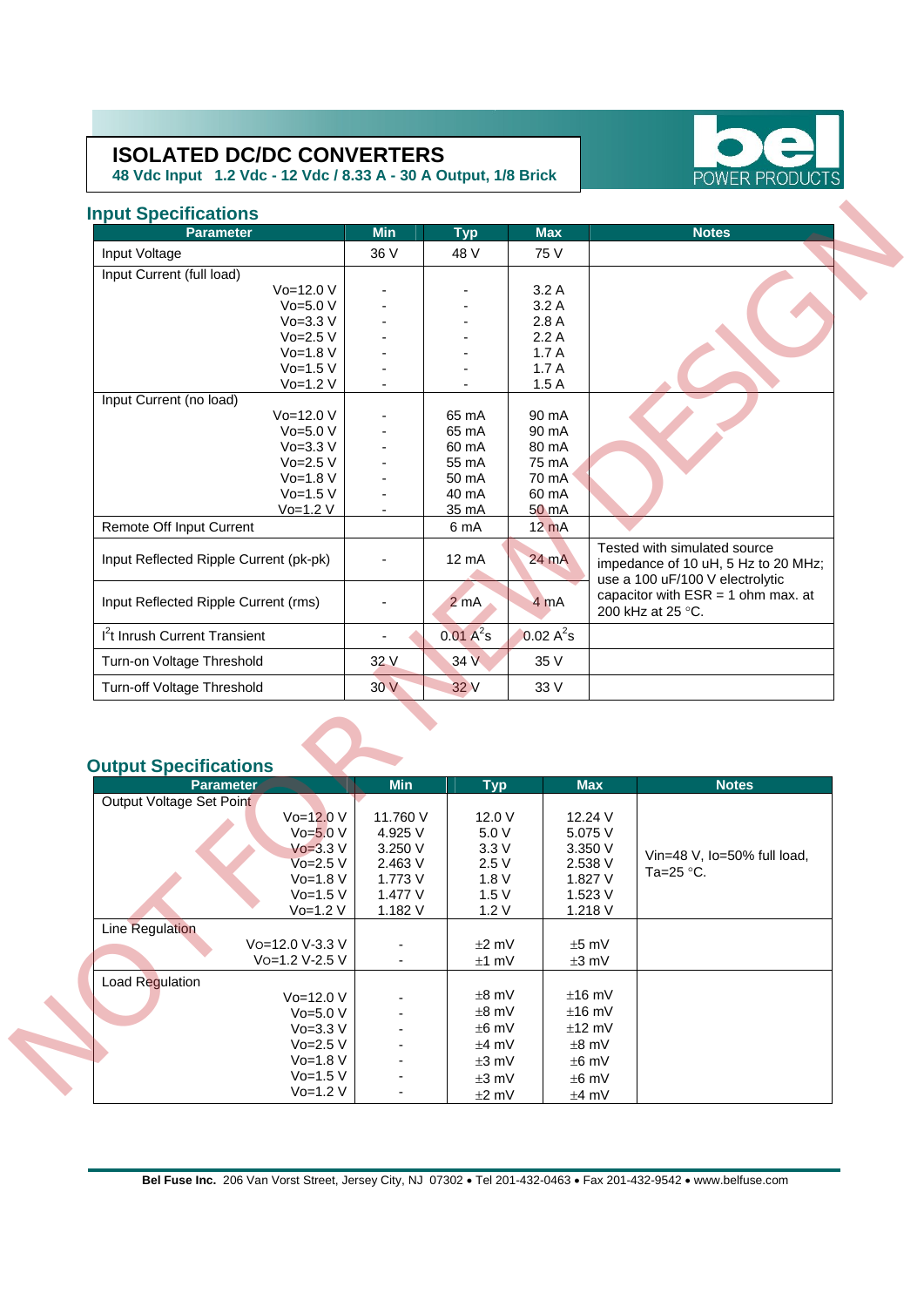**48 Vdc Input 1.2 Vdc - 12 Vdc / 8.33 A - 30 A Output, 1/8 Brick** 



### **Input Specifications**

| <b>Parameter</b>                         |                           | <b>Min</b>          | <b>Typ</b>       | <b>Max</b>      | <b>Notes</b>                                                                                           |
|------------------------------------------|---------------------------|---------------------|------------------|-----------------|--------------------------------------------------------------------------------------------------------|
| Input Voltage                            |                           | 36 V                | 48 V             | 75 V            |                                                                                                        |
| Input Current (full load)                |                           |                     |                  |                 |                                                                                                        |
|                                          | $Vo=12.0 V$               |                     |                  | 3.2A            |                                                                                                        |
|                                          | $Vo=5.0 V$                |                     |                  | 3.2A            |                                                                                                        |
|                                          | $Vo=3.3 V$                |                     |                  | 2.8A            |                                                                                                        |
|                                          | $Vo=2.5 V$                |                     |                  | 2.2A            |                                                                                                        |
|                                          | $Vo=1.8 V$                |                     |                  | 1.7A            |                                                                                                        |
|                                          | $Vo=1.5 V$                |                     |                  | 1.7A            |                                                                                                        |
|                                          | $Vo=1.2 V$                |                     |                  | 1.5A            |                                                                                                        |
| Input Current (no load)                  |                           |                     |                  |                 |                                                                                                        |
|                                          | Vo=12.0 V                 |                     | 65 mA            | 90 mA           |                                                                                                        |
|                                          | $Vo=5.0 V$                |                     | 65 mA            | 90 mA           |                                                                                                        |
|                                          | $Vo=3.3 V$                |                     | 60 mA            | 80 mA           |                                                                                                        |
|                                          | $Vo=2.5 V$                |                     | 55 mA            | 75 mA           |                                                                                                        |
|                                          | $Vo=1.8 V$                |                     | 50 mA            | 70 mA           |                                                                                                        |
|                                          | $Vo=1.5 V$                |                     | 40 mA            | 60 mA           |                                                                                                        |
|                                          | $Vo=1.2 V$                |                     | 35 mA            | 50 mA           |                                                                                                        |
| Remote Off Input Current                 |                           |                     | 6 mA             | $12 \text{ mA}$ |                                                                                                        |
| Input Reflected Ripple Current (pk-pk)   |                           |                     | 12 mA            | 24 mA           | Tested with simulated source<br>impedance of 10 uH, 5 Hz to 20 MHz;<br>use a 100 uF/100 V electrolytic |
| Input Reflected Ripple Current (rms)     |                           |                     | 2 <sub>m</sub> A | 4 mA            | capacitor with $ESR = 1$ ohm max. at<br>200 kHz at 25 °C.                                              |
| <sup>12</sup> t Inrush Current Transient |                           |                     | $0.01 A^2 s$     | $0.02 A^2s$     |                                                                                                        |
| Turn-on Voltage Threshold                |                           | 32 V                | 34 V             | 35 V            |                                                                                                        |
| Turn-off Voltage Threshold               |                           | 30V                 | 32 V             | 33 V            |                                                                                                        |
| <b>Output Specifications</b>             |                           |                     |                  |                 |                                                                                                        |
| <b>Parameter</b>                         |                           | <b>Min</b>          | <b>Typ</b>       |                 | <b>Max</b><br><b>Notes</b>                                                                             |
| Output Voltage Set Point                 |                           |                     |                  |                 |                                                                                                        |
|                                          | $Vo=12.0 V$<br>$Vo=5.0 V$ | 11.760 V<br>4.925 V | 12.0 V<br>5.0 V  |                 | 12.24 V<br>5.075 V                                                                                     |
|                                          | $V_0 = 3.3 V$             | 3.250 V             | 3.3V             |                 | 3.350 V                                                                                                |
|                                          | $V$ o=2.5 $V$             | 2.463 V             | 2.5V             |                 | Vin=48 V, Io=50% full load,<br>2.538 V                                                                 |
|                                          | Vo=1.8 V                  | 1.773 V             | 1.8 V            |                 | Ta=25 °C.<br>1.827 V                                                                                   |
|                                          | $Vo=1.5 V$                | 1.477 V             | 1.5V             |                 | 1.523 V                                                                                                |
|                                          | $V_0 - 1.2 V$             | $1.182$ $V$         | 1.2 <sub>1</sub> |                 | $1.218$ $V$                                                                                            |

## **Output Specifications**

| <b>Parameter</b>         | <b>Min</b> | <b>Typ</b> | <b>Max</b> | <b>Notes</b>                |
|--------------------------|------------|------------|------------|-----------------------------|
| Output Voltage Set Point |            |            |            |                             |
| $Vo=12.0 V$              | 11.760 V   | 12.0 V     | 12.24 V    |                             |
| $Vo=5.0 V$               | 4.925 V    | 5.0V       | 5.075 V    |                             |
| $V_0 = 3.3 V$            | 3.250V     | 3.3V       | 3.350V     | Vin=48 V, lo=50% full load, |
| Vo=2.5 V                 | 2.463V     | 2.5V       | 2.538 V    | Ta=25 $\degree$ C.          |
| $Vo=1.8 V$               | 1.773 V    | 1.8V       | 1.827 V    |                             |
| $Vo=1.5 V$               | 1.477 V    | 1.5V       | 1.523V     |                             |
| $Vo=1.2 V$               | 1.182 V    | 1.2V       | 1.218 V    |                             |
| Line Regulation          |            |            |            |                             |
| Vo=12.0 V-3.3 V          |            | $±2$ mV    | $±5$ mV    |                             |
| Vo=1.2 V-2.5 V           | ٠          | $±1$ mV    | $±3$ mV    |                             |
| Load Regulation          |            |            |            |                             |
| $Vo=12.0 V$              |            | $±8$ mV    | $±16$ mV   |                             |
| $Vo=5.0 V$               |            | $±8$ mV    | $±16$ mV   |                             |
| $V_0 = 3.3 V$            |            | $±6$ mV    | $±12$ mV   |                             |
| $Vo=2.5 V$               |            | $±4$ mV    | $±8$ mV    |                             |
| $Vo=1.8 V$               |            | $\pm 3$ mV | $±6$ mV    |                             |
| $Vo=1.5 V$               |            | $\pm 3$ mV | $±6$ mV    |                             |
| Vo=1.2 V                 |            | $±2$ mV    | $±4$ mV    |                             |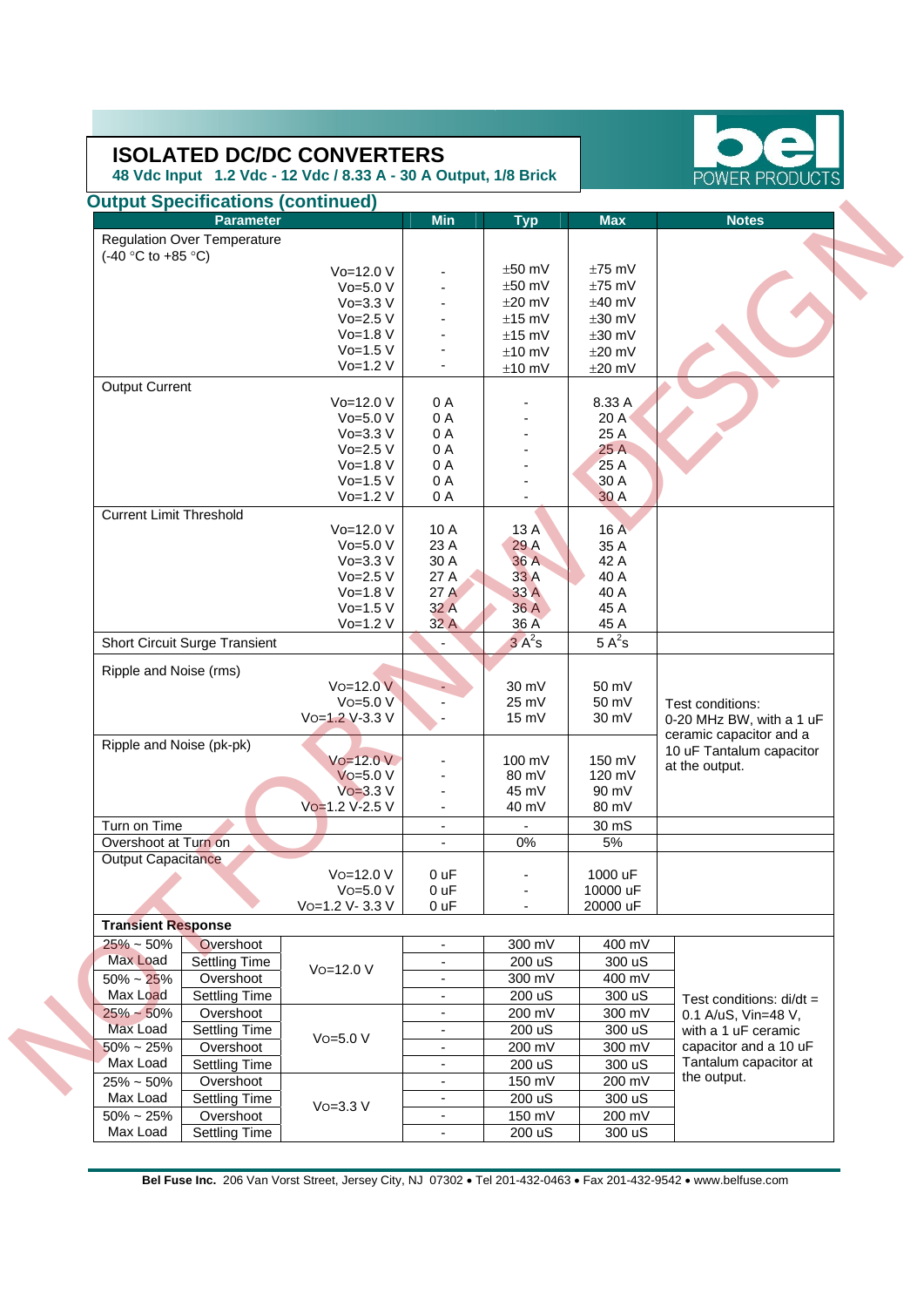**48 Vdc Input 1.2 Vdc - 12 Vdc / 8.33 A - 30 A Output, 1/8 Brick** 

| <b>Parameter</b>                                                  |                | <b>Min</b>               | <b>Typ</b>               | <b>Max</b>       | <b>Notes</b>               |
|-------------------------------------------------------------------|----------------|--------------------------|--------------------------|------------------|----------------------------|
| <b>Regulation Over Temperature</b>                                |                |                          |                          |                  |                            |
| $(-40 °C)$ to $+85 °C$ )                                          |                |                          |                          |                  |                            |
|                                                                   | Vo=12.0 V      |                          | $±50$ mV                 | $±75$ mV         |                            |
|                                                                   | $Vo=5.0 V$     |                          | $±50$ mV                 | $±75$ mV         |                            |
|                                                                   | $Vo=3.3 V$     |                          | $±20$ mV                 | $±40$ mV         |                            |
|                                                                   | $Vo=2.5 V$     |                          | $±15$ mV                 | $±30$ mV         |                            |
|                                                                   | $Vo=1.8 V$     |                          |                          |                  |                            |
|                                                                   | $Vo=1.5 V$     |                          | $±15$ mV                 | $±30$ mV         |                            |
|                                                                   |                |                          | $±10$ mV                 | $±20$ mV         |                            |
|                                                                   | $Vo=1.2 V$     |                          | $±10$ mV                 | $±20$ mV         |                            |
| Output Current                                                    |                |                          |                          |                  |                            |
|                                                                   | Vo=12.0 V      | 0A                       |                          | 8.33 A           |                            |
|                                                                   | $Vo=5.0 V$     | 0A                       |                          | 20A              |                            |
|                                                                   | $Vo=3.3 V$     | 0 A                      |                          | 25 A             |                            |
|                                                                   | $Vo=2.5 V$     | 0A                       |                          | 25 A             |                            |
|                                                                   | $Vo=1.8 V$     | 0A                       |                          | 25 A             |                            |
|                                                                   | $Vo=1.5 V$     | 0 A                      |                          | 30 A             |                            |
|                                                                   | $Vo=1.2 V$     | 0 A                      |                          | 30 A             |                            |
| <b>Current Limit Threshold</b>                                    |                |                          |                          |                  |                            |
|                                                                   | Vo=12.0 V      | 10 A                     | 13 A                     | 16 A             |                            |
|                                                                   | $Vo=5.0 V$     | 23 A                     | 29 A                     | 35 A             |                            |
|                                                                   | $Vo=3.3 V$     | 30 A                     | 36 A                     | 42 A             |                            |
|                                                                   | $Vo=2.5 V$     | 27 A                     | 33 A                     | 40 A             |                            |
|                                                                   | $Vo=1.8 V$     | 27A                      | 33 A                     | 40 A             |                            |
|                                                                   | $Vo=1.5 V$     | 32A                      | 36 A                     | 45 A             |                            |
|                                                                   | $Vo=1.2 V$     | 32 A                     | 36 A                     | 45 A             |                            |
| Short Circuit Surge Transient                                     |                |                          | $3A^2s$                  | $5A^2s$          |                            |
|                                                                   |                |                          |                          |                  |                            |
| Ripple and Noise (rms)                                            |                |                          |                          |                  |                            |
|                                                                   | $Vo=12.0 V$    |                          | 30 mV                    | 50 mV            |                            |
|                                                                   | $V$ o=5.0 $V$  |                          | 25 mV                    | 50 mV            | Test conditions:           |
|                                                                   | Vo=1.2 V-3.3 V |                          | $15 \text{ mV}$          | 30 mV            | 0-20 MHz BW, with a 1 uF   |
| Ripple and Noise (pk-pk)                                          |                |                          |                          |                  | ceramic capacitor and a    |
|                                                                   | $Vo = 12.0 V$  |                          | 100 mV                   | 150 mV           | 10 uF Tantalum capacitor   |
|                                                                   | $V$ o=5.0 $V$  |                          | 80 mV                    | 120 mV           | at the output.             |
|                                                                   | $V$ o=3.3 V    |                          | 45 mV                    | 90 mV            |                            |
|                                                                   | Vo=1.2 V-2.5 V | $\overline{\phantom{a}}$ | 40 mV                    | 80 mV            |                            |
| Turn on Time                                                      |                |                          |                          | 30 mS            |                            |
| Overshoot at Turn on                                              |                | $\mathbf{r}$             | 0%                       | $5\%$            |                            |
| <b>Output Capacitance</b>                                         |                |                          |                          |                  |                            |
|                                                                   | Vo=12.0 V      | 0 uF                     |                          | 1000 uF          |                            |
|                                                                   | $Vo=5.0 V$     | 0 <sub>uF</sub>          |                          | 10000 uF         |                            |
|                                                                   | Vo=1.2 V-3.3 V | 0 uF                     | $\overline{\phantom{a}}$ | 20000 uF         |                            |
| <b>Transient Response</b>                                         |                |                          |                          |                  |                            |
| $25% - 50%$<br>Overshoot                                          |                | $\overline{\phantom{a}}$ | 300 mV                   | 400 mV           |                            |
| Max Load<br><b>Settling Time</b>                                  |                |                          | 200 uS                   | 300 uS           |                            |
|                                                                   | Vo=12.0 V      | $\overline{\phantom{a}}$ |                          |                  |                            |
| Overshoot<br>$50\% \sim 25\%$                                     |                |                          | 300 mV                   | 400 mV           |                            |
| Max Load<br><b>Settling Time</b>                                  |                | $\overline{\phantom{a}}$ | 200 uS                   | 300 uS           | Test conditions: $di/dt =$ |
| $25\% - 50\%$<br>Overshoot                                        |                |                          | 200 mV                   | 300 mV           | 0.1 A/uS, Vin=48 V,        |
| Max Load<br>Settling Time                                         |                |                          | 200 uS                   | 300 uS           | with a 1 uF ceramic        |
| $50\% \sim 25\%$<br>Overshoot                                     | $Vo=5.0 V$     | $\overline{\phantom{a}}$ | 200 mV                   | 300 mV           | capacitor and a 10 uF      |
| Max Load<br><b>Settling Time</b>                                  |                | $\overline{\phantom{a}}$ | 200 uS                   | 300 uS           | Tantalum capacitor at      |
| Overshoot<br>$25\% \sim 50\%$                                     |                | ٠                        | 150 mV                   | 200 mV           | the output.                |
| Max Load<br><b>Settling Time</b>                                  |                |                          | 200 uS                   | 300 uS           |                            |
|                                                                   | $Vo=3.3 V$     | $\overline{\phantom{a}}$ |                          |                  |                            |
|                                                                   |                |                          |                          |                  |                            |
| $50\% \sim 25\%$<br>Overshoot<br>Max Load<br><b>Settling Time</b> |                | $\overline{\phantom{a}}$ | 150 mV<br>200 uS         | 200 mV<br>300 uS |                            |

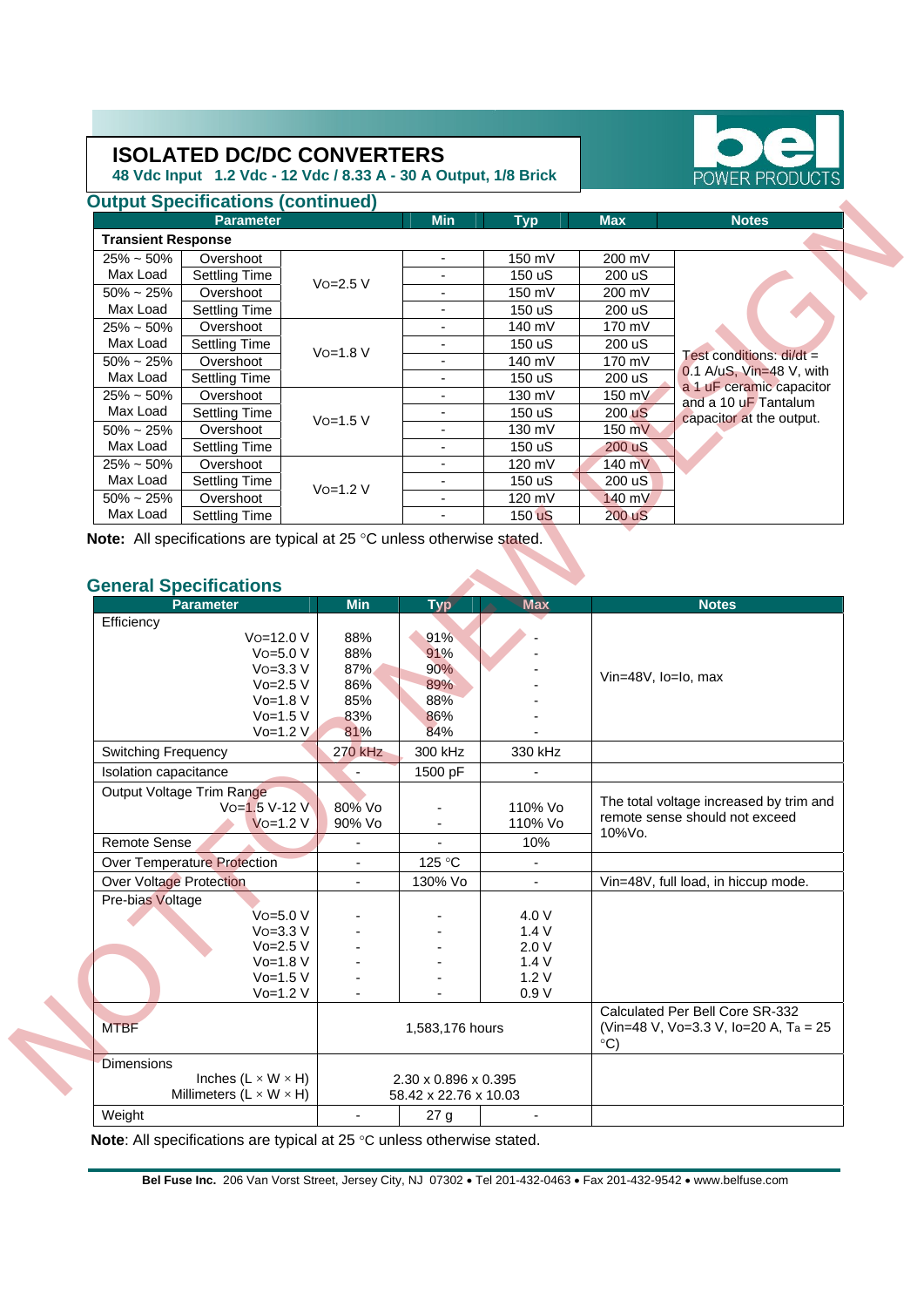**Output Specifications (continued) Parameter** 

48 Vdc Input 1.2 Vdc - 12 Vdc / 8.33 A

| <b>TERS</b><br>- 30 A Output, 1/8 Brick |            |        |            | POWER PRODUCTS |
|-----------------------------------------|------------|--------|------------|----------------|
|                                         | <b>Min</b> | Typ    | <b>Max</b> | <b>Notes</b>   |
|                                         |            |        |            |                |
|                                         |            | 150 mV | 200 mV     |                |
|                                         |            | 150 uS | 200 uS     |                |
|                                         |            | 150 mV | 200 mV     |                |
|                                         |            | 150 uS | 200 uS     |                |
|                                         |            | 140 mV | 170 mV     |                |
|                                         |            | 4.50   | 000        |                |

| $25\% \sim 50\%$ | Overshoot            |               |   | 140 mV           | 170 mV           |                                                        |
|------------------|----------------------|---------------|---|------------------|------------------|--------------------------------------------------------|
| Max Load         | Settling Time        | $V_0 = 1.8 V$ |   | 150 uS           | 200 uS           |                                                        |
| $50\% \sim 25\%$ | Overshoot            |               | - | 140 mV           | 170 mV           | Test conditions: $di/dt =$                             |
| Max Load         | <b>Settling Time</b> |               |   | 150 uS           | 200 uS           | $0.1$ A/uS, Vin=48 V, with<br>a 1 uF ceramic capacitor |
| $25\% \sim 50\%$ | Overshoot            |               |   | $130 \text{ mV}$ | 150 mV           | and a 10 uF Tantalum                                   |
| Max Load         | Settling Time        | $Vo=1.5 V$    |   | 150 uS           | 200 uS           | capacitor at the output.                               |
| $50\% \sim 25\%$ | Overshoot            |               |   | 130 mV           | 150 mV           |                                                        |
| Max Load         | Settling Time        |               |   | 150 uS           | $200 \text{ uS}$ |                                                        |
| $25\% \sim 50\%$ | Overshoot            |               |   | 120 mV           | 140 mV           |                                                        |
| Max Load         | Settling Time        | $V_0 = 1.2 V$ |   | 150 uS           | 200 uS           |                                                        |
| $50\% \sim 25\%$ | Overshoot            |               |   | 120 mV           | 140 mV           |                                                        |
| Max Load         | Settling Time        |               |   | $150 \text{ uS}$ | 200 uS           |                                                        |

#### **General Specifications**

|                            | <b>Parameter</b>                                                      |                          | <b>Min</b>                                    | <b>Typ</b>               | <b>Max</b>          | <b>Notes</b>                                                             |  |
|----------------------------|-----------------------------------------------------------------------|--------------------------|-----------------------------------------------|--------------------------|---------------------|--------------------------------------------------------------------------|--|
|                            | <b>Transient Response</b>                                             |                          |                                               |                          |                     |                                                                          |  |
| $25\% \sim 50\%$           | Overshoot                                                             |                          | $\overline{\phantom{a}}$                      | 150 mV                   | 200 mV              |                                                                          |  |
| Max Load                   | Settling Time                                                         |                          | $\overline{\phantom{a}}$                      | 150 uS                   | 200 uS              |                                                                          |  |
| $50\%$ ~ 25%               | Overshoot                                                             | $V$ o=2.5 $V$            | $\overline{\phantom{a}}$                      | 150 mV                   | 200 mV              |                                                                          |  |
| Max Load                   | <b>Settling Time</b>                                                  |                          | $\blacksquare$                                | 150 uS                   | 200 uS              |                                                                          |  |
| $25\% \sim 50\%$           | Overshoot                                                             |                          | $\blacksquare$                                | $140 \text{ mV}$         | 170 mV              |                                                                          |  |
| Max Load                   | <b>Settling Time</b>                                                  |                          | $\overline{\phantom{a}}$                      | 150 uS                   | 200 uS              |                                                                          |  |
| $50\% \sim 25\%$           | Overshoot                                                             | $Vo=1.8 V$               | $\blacksquare$                                | 140 mV                   | 170 mV              | Test conditions: di/dt =                                                 |  |
| Max Load                   | <b>Settling Time</b>                                                  |                          | $\overline{\phantom{a}}$                      | 150 uS                   | 200 uS              | 0.1 A/uS, Vin=48 V, with                                                 |  |
| $25\% \sim 50\%$           | Overshoot                                                             |                          | ٠                                             | 130 mV                   | 150 mV              | a 1 uF ceramic capacitor                                                 |  |
| Max Load                   | <b>Settling Time</b>                                                  |                          | $\overline{\phantom{a}}$                      | 150 uS                   | 200 uS              | and a 10 uF Tantalum                                                     |  |
| $50\%$ ~ 25%               | Overshoot                                                             | $Vo=1.5 V$               | $\overline{a}$                                | 130 mV                   | 150 mV              | capacitor at the output.                                                 |  |
| Max Load                   | <b>Settling Time</b>                                                  |                          | $\overline{\phantom{a}}$                      | 150 uS                   | 200 uS              |                                                                          |  |
| $25\% \sim 50\%$           | Overshoot                                                             |                          | $\blacksquare$                                | 120 mV                   | 140 mV              |                                                                          |  |
| Max Load                   | Settling Time                                                         |                          | $\overline{\phantom{a}}$                      | 150 uS                   | 200 uS              |                                                                          |  |
| $50\%$ ~ 25%               | Overshoot                                                             | $V$ o=1.2 $V$            | $\overline{\phantom{a}}$                      | 120 mV                   | 140 mV              |                                                                          |  |
| Max Load                   | <b>Settling Time</b>                                                  |                          | $\blacksquare$                                | 150 <b>uS</b>            | 200 uS              |                                                                          |  |
|                            | <b>General Specifications</b>                                         |                          |                                               |                          |                     |                                                                          |  |
|                            | <b>Parameter</b>                                                      | <b>Min</b>               | <b>Typ</b>                                    | <b>Max</b>               |                     | <b>Notes</b>                                                             |  |
| Efficiency                 |                                                                       |                          |                                               |                          |                     |                                                                          |  |
|                            | Vo=12.0 V                                                             | 88%                      | 91%                                           |                          |                     |                                                                          |  |
|                            | $Vo=5.0 V$                                                            | 88%                      | 91%                                           |                          |                     |                                                                          |  |
|                            | $V$ o=3.3 $V$                                                         | 87%                      | 90%                                           |                          |                     |                                                                          |  |
|                            |                                                                       |                          |                                               |                          |                     |                                                                          |  |
|                            | $Vo=2.5 V$                                                            | 86%                      | 89%                                           |                          | Vin=48V, lo=lo, max |                                                                          |  |
|                            | $Vo=1.8 V$                                                            | 85%                      | 88%                                           |                          |                     |                                                                          |  |
|                            | $Vo=1.5 V$                                                            | 83%                      | 86%                                           |                          |                     |                                                                          |  |
|                            | $Vo=1.2 V$                                                            | 81%                      | 84%                                           |                          |                     |                                                                          |  |
| <b>Switching Frequency</b> |                                                                       | 270 kHz                  | 300 kHz                                       | 330 kHz                  |                     |                                                                          |  |
| Isolation capacitance      |                                                                       |                          | 1500 pF                                       |                          |                     |                                                                          |  |
|                            | Output Voltage Trim Range                                             |                          |                                               |                          |                     |                                                                          |  |
|                            | Vo=1.5 V-12 V                                                         | 80% Vo                   |                                               | 110% Vo                  |                     | The total voltage increased by trim and                                  |  |
|                            | $V$ o=1.2 V                                                           | 90% Vo                   | ٠                                             | 110% Vo                  |                     | remote sense should not exceed                                           |  |
| <b>Remote Sense</b>        |                                                                       | $\overline{\phantom{a}}$ | $\overline{\phantom{a}}$                      | 10%                      | $10\%$ Vo.          |                                                                          |  |
|                            | <b>Over Temperature Protection</b>                                    | $\overline{\phantom{a}}$ | 125 °C                                        | $\overline{\phantom{a}}$ |                     |                                                                          |  |
|                            |                                                                       | $\blacksquare$           |                                               | $\overline{\phantom{a}}$ |                     | Vin=48V, full load, in hiccup mode.                                      |  |
| Over Voltage Protection    |                                                                       |                          | 130% Vo                                       |                          |                     |                                                                          |  |
| Pre-bias Voltage           | Vo=5.0 V                                                              |                          |                                               | 4.0 V                    |                     |                                                                          |  |
|                            | $Vo=3.3 V$                                                            |                          |                                               | 1.4V                     |                     |                                                                          |  |
|                            | $Vo=2.5 V$                                                            |                          |                                               | 2.0V                     |                     |                                                                          |  |
|                            | $Vo=1.8 V$                                                            |                          |                                               | 1.4V                     |                     |                                                                          |  |
|                            | $Vo=1.5 V$                                                            |                          |                                               | 1.2V                     |                     |                                                                          |  |
|                            | $Vo=1.2 V$                                                            |                          |                                               | 0.9V                     |                     |                                                                          |  |
| <b>MTBF</b>                |                                                                       |                          | 1,583,176 hours                               |                          |                     | Calculated Per Bell Core SR-332<br>(Vin=48 V, Vo=3.3 V, Io=20 A, Ta = 25 |  |
|                            |                                                                       |                          |                                               |                          | $\circ$ C)          |                                                                          |  |
| <b>Dimensions</b>          |                                                                       |                          |                                               |                          |                     |                                                                          |  |
|                            | Inches $(L \times W \times H)$<br>Millimeters $(L \times W \times H)$ |                          | 2.30 x 0.896 x 0.395<br>58.42 x 22.76 x 10.03 |                          |                     |                                                                          |  |

**Note**: All specifications are typical at 25 °C unless otherwise stated.

**Bel Fuse Inc.** 206 Van Vorst Street, Jersey City, NJ 07302 • Tel 201-432-0463 • Fax 201-432-9542 • www.belfuse.com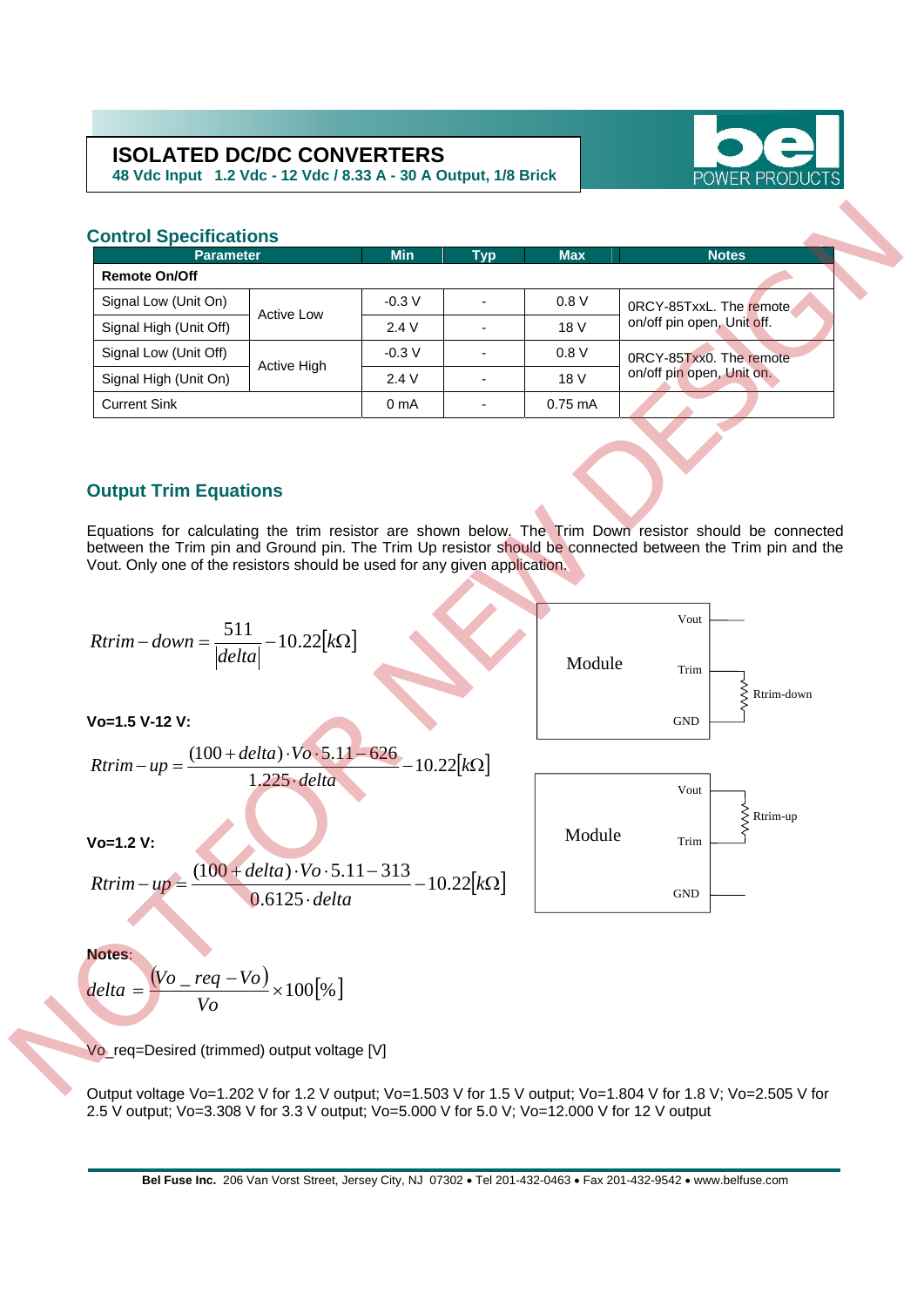**48 Vdc Input 1.2 Vdc - 12 Vdc / 8.33 A - 30 A Output, 1/8 Brick** 



#### **Control Specifications**

| <b>Parameter</b>       |             | <b>Min</b>       | <b>Typ</b> | <b>Max</b> | <b>Notes</b>               |  |
|------------------------|-------------|------------------|------------|------------|----------------------------|--|
| <b>Remote On/Off</b>   |             |                  |            |            |                            |  |
| Signal Low (Unit On)   | Active Low  | $-0.3 V$         |            | 0.8V       | 0RCY-85TxxL. The remote    |  |
| Signal High (Unit Off) |             | 2.4V             |            | 18 V       | on/off pin open, Unit off. |  |
| Signal Low (Unit Off)  | Active High | $-0.3 V$         |            | 0.8V       | 0RCY-85Txx0. The remote    |  |
| Signal High (Unit On)  |             | 2.4V             |            | 18 V       | on/off pin open, Unit on.  |  |
| <b>Current Sink</b>    |             | 0 <sub>m</sub> A |            | $0.75$ mA  |                            |  |

#### **Output Trim Equations**

Equations for calculating the trim resistor are shown below. The Trim Down resistor should be connected between the Trim pin and Ground pin. The Trim Up resistor should be connected between the Trim pin and the Vout. Only one of the resistors should be used for any given application.

 **Vo=1.5 V-12 V: Vo=1.2 V: Notes**: [ ] Ω− <sup>⋅</sup> −⋅⋅+ =− *<sup>k</sup> delta Vodelta upRtrim* 22.10 6125.0 31311.5)100( [ ] *k*Ω−=− *delta Rtrim down* 22.10 <sup>511</sup> [ ] Ω− <sup>⋅</sup> −⋅⋅+ =− *<sup>k</sup> delta Vodelta upRtrim* 22.10 225.1 62611.5)100( Rtrim-down Vout Trim GND Module Vout Trim GND Module Rtrim-up NOT FOR NEW DESIGN

$$
\mathbf{Notes:} \qquad \qquad \text{(17)}
$$

$$
delta = \frac{(Vo - req - Vo)}{Vo} \times 100\text{ [%]}
$$

Vo\_req=Desired (trimmed) output voltage [V]

Output voltage Vo=1.202 V for 1.2 V output; Vo=1.503 V for 1.5 V output; Vo=1.804 V for 1.8 V; Vo=2.505 V for 2.5 V output; Vo=3.308 V for 3.3 V output; Vo=5.000 V for 5.0 V; Vo=12.000 V for 12 V output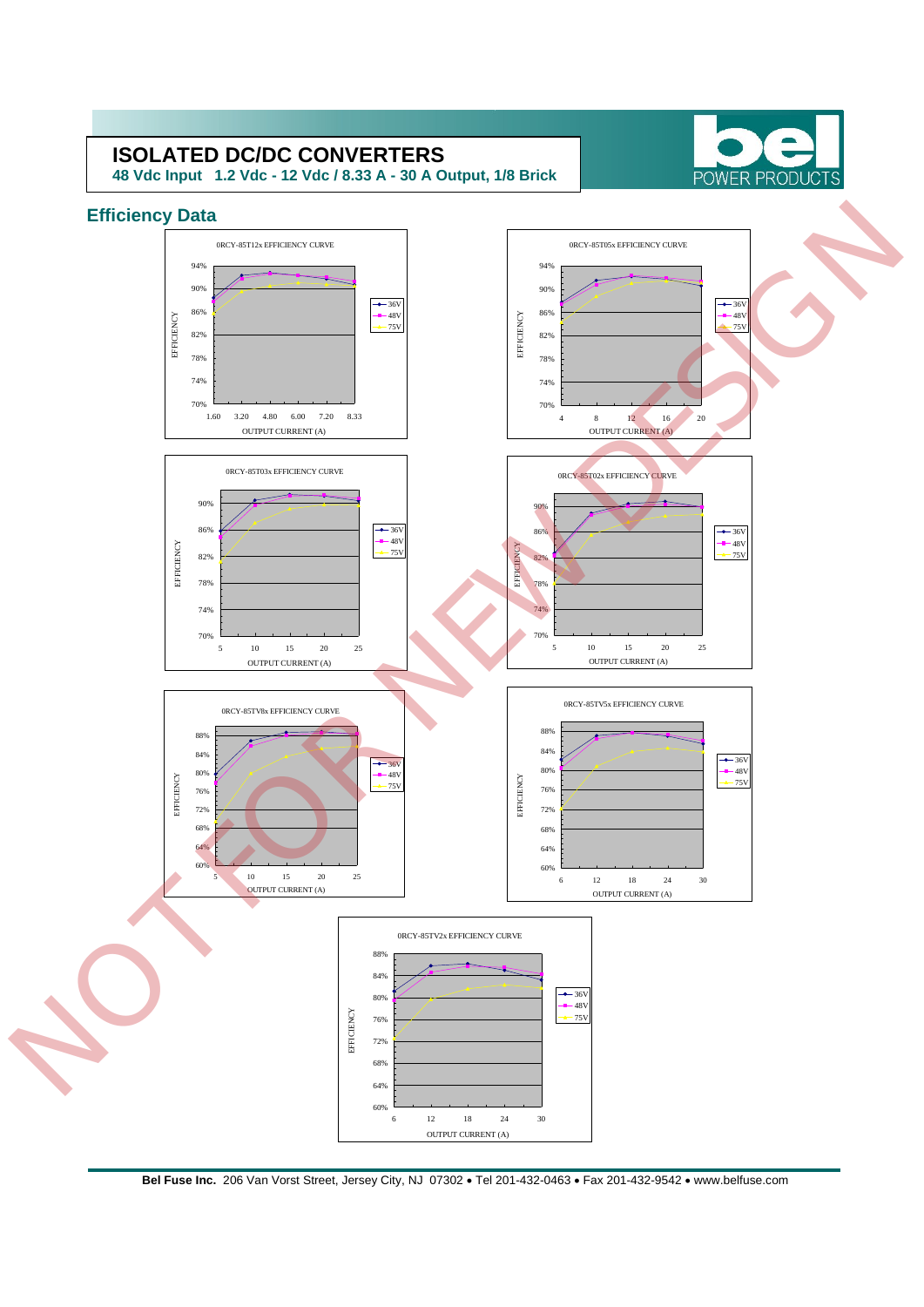**48 Vdc Input 1.2 Vdc - 12 Vdc / 8.33 A - 30 A Output, 1/8 Brick** 



### **Efficiency Data**

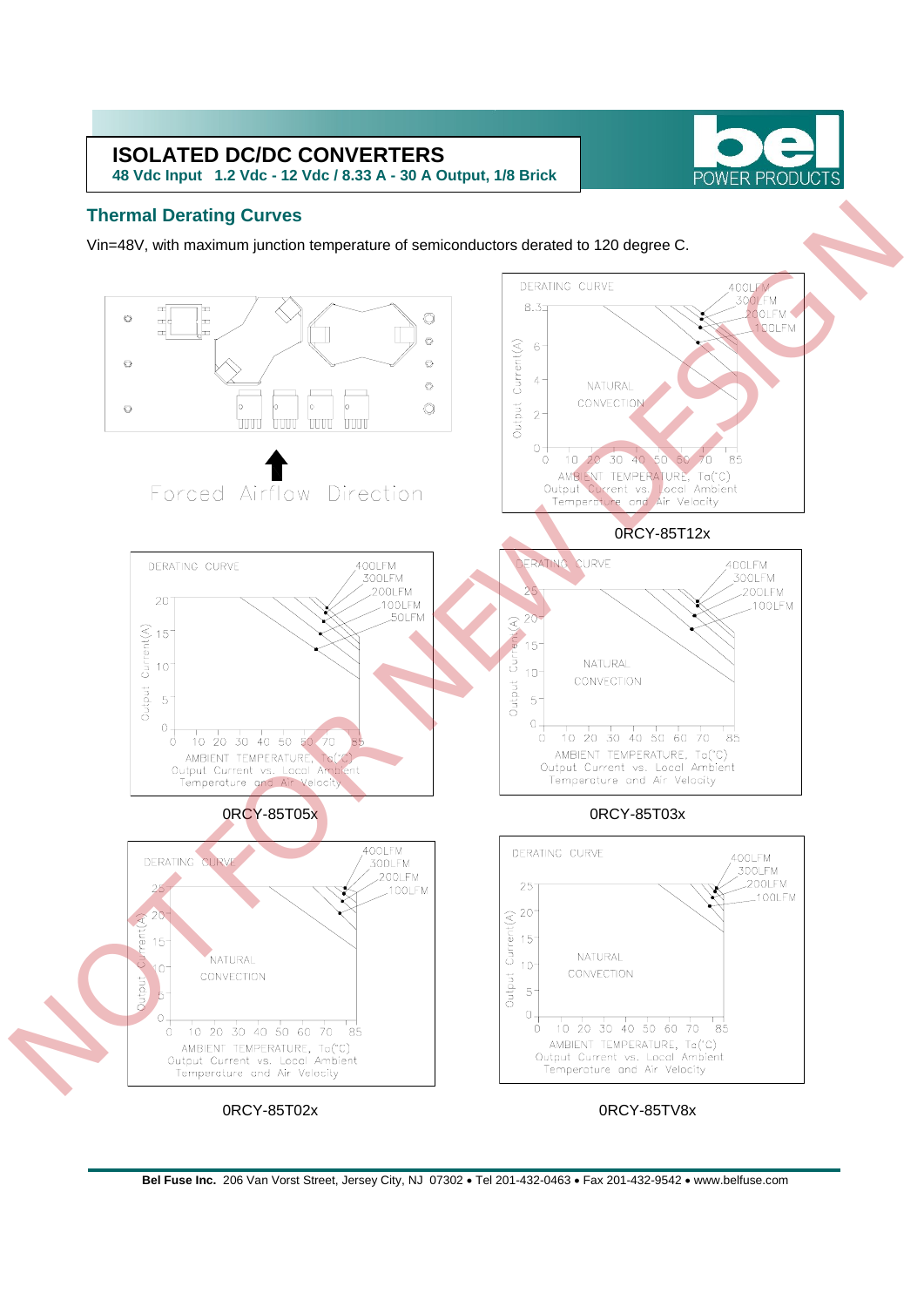**48 Vdc Input 1.2 Vdc - 12 Vdc / 8.33 A - 30 A Output, 1/8 Brick** 



#### **Thermal Derating Curves**

Vin=48V, with maximum junction temperature of semiconductors derated to 120 degree C.

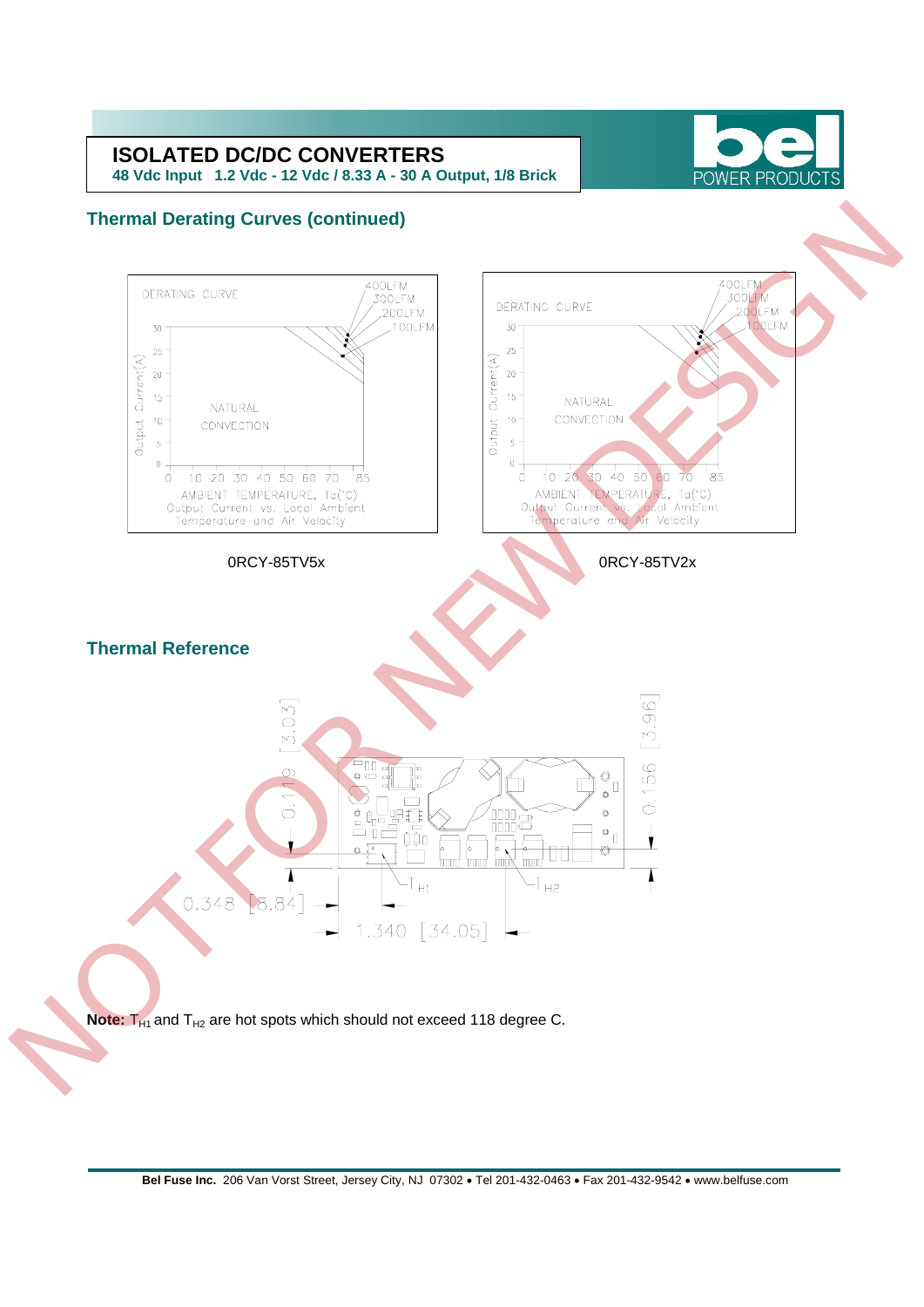**48 Vdc Input 1.2 Vdc - 12 Vdc / 8.33 A - 30 A Output, 1/8 Brick** 



#### **Thermal Derating Curves (continued)**



Note: T<sub>H1</sub> and T<sub>H2</sub> are hot spots which should not exceed 118 degree C.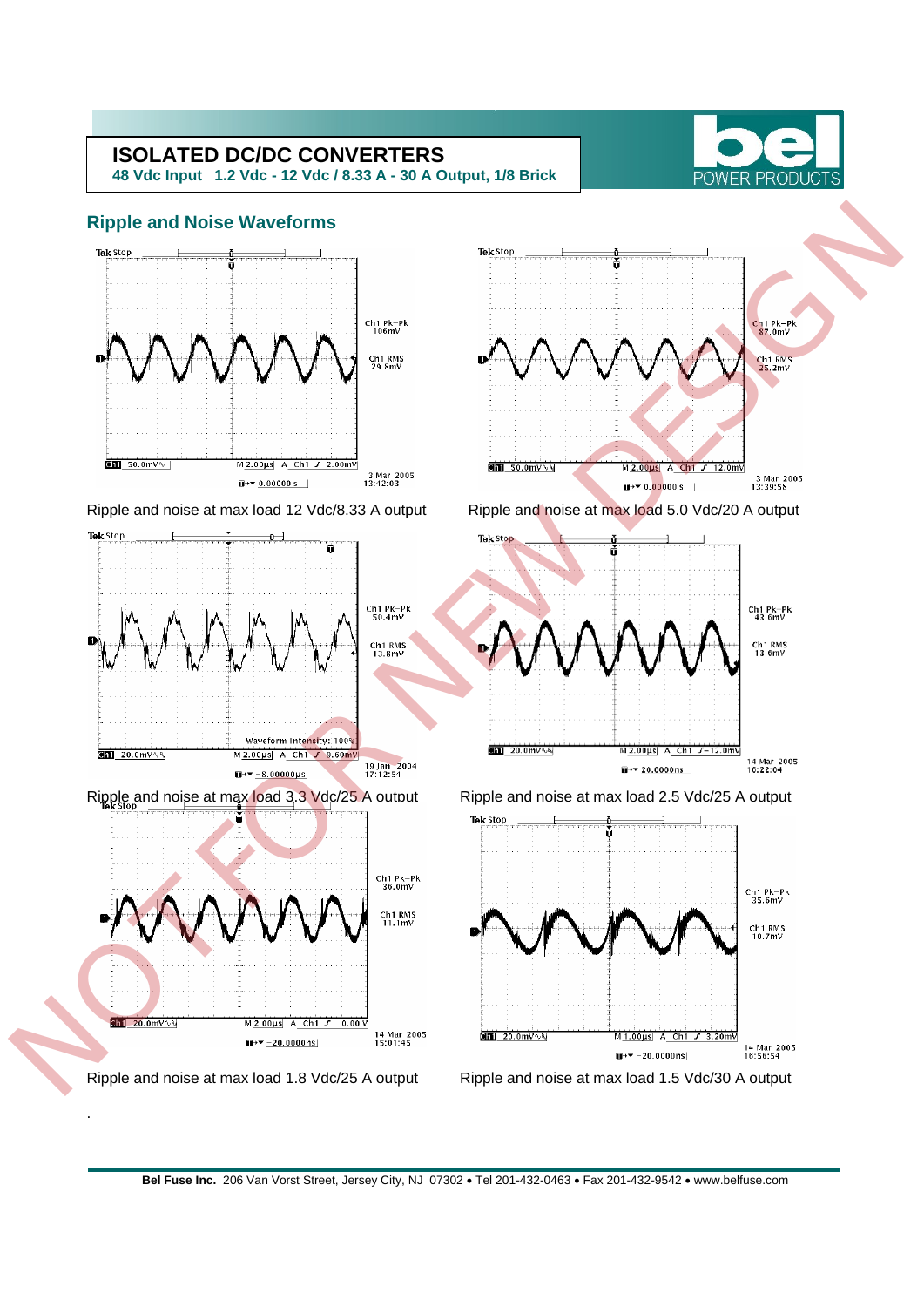**48 Vdc Input 1.2 Vdc - 12 Vdc / 8.33 A - 30 A Output, 1/8 Brick** 



#### **Ripple and Noise Waveforms**



.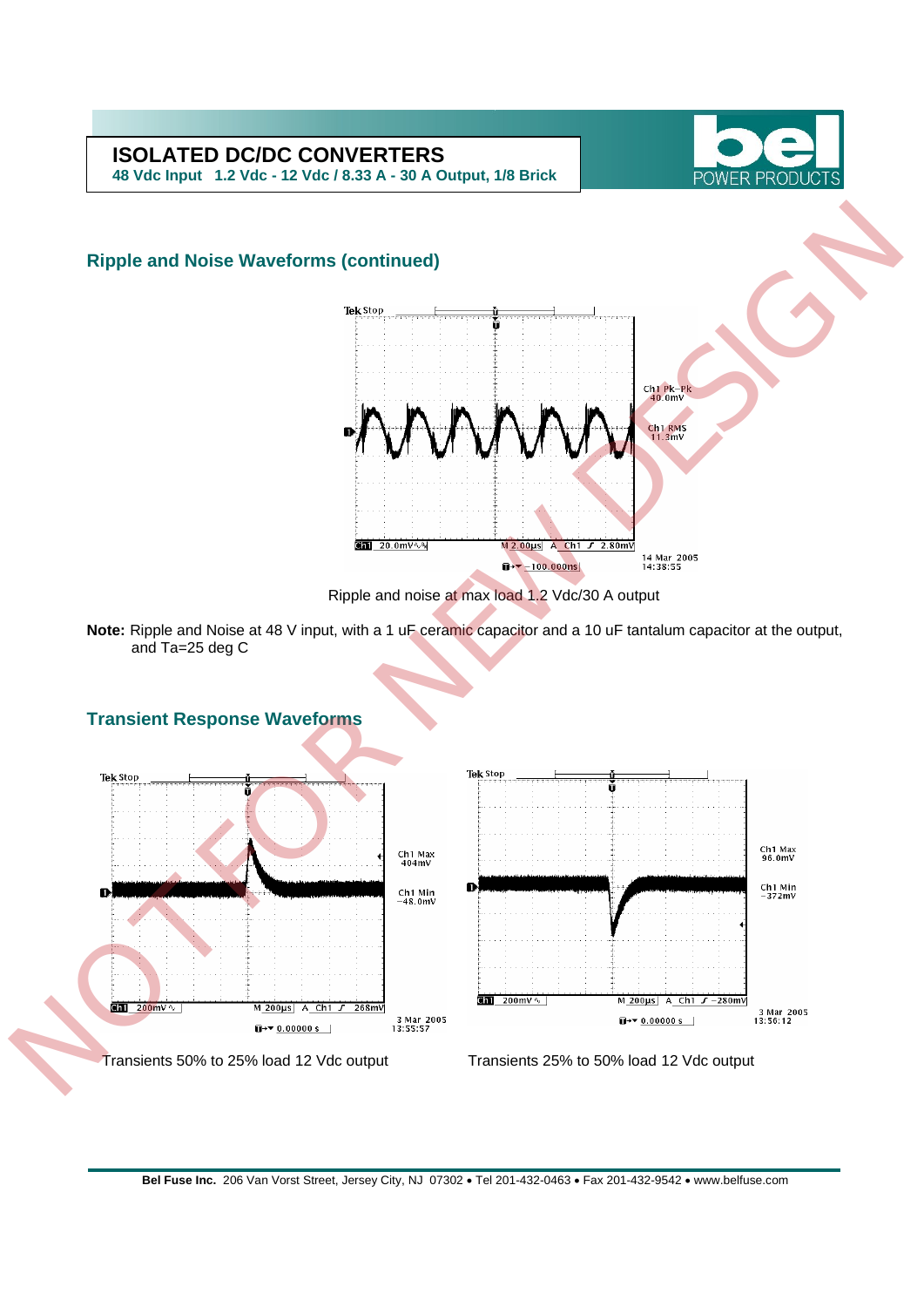

**48 Vdc Input 1.2 Vdc - 12 Vdc / 8.33 A - 30 A Output, 1/8 Brick** 

## **Ripple and Noise Waveforms (continued)**





**Note:** Ripple and Noise at 48 V input, with a 1 uF ceramic capacitor and a 10 uF tantalum capacitor at the output, and Ta=25 deg C

# **Transient Response Waveforms Tek Stop** Transients 50% to 25%  $\frac{1}{200}$  200mV  $\sqrt{ }$ M\_200µs| A\_Ch1 *J* -280mV 3 Mar 2005<br>13:56:12 268mV 3 Mar 2005<br>13:55:57  $\overline{u}$  +  $\overline{v}$  0.00000 s | Transients 50% to 25% load 12 Vdc output Transients 25% to 50% load 12 Vdc output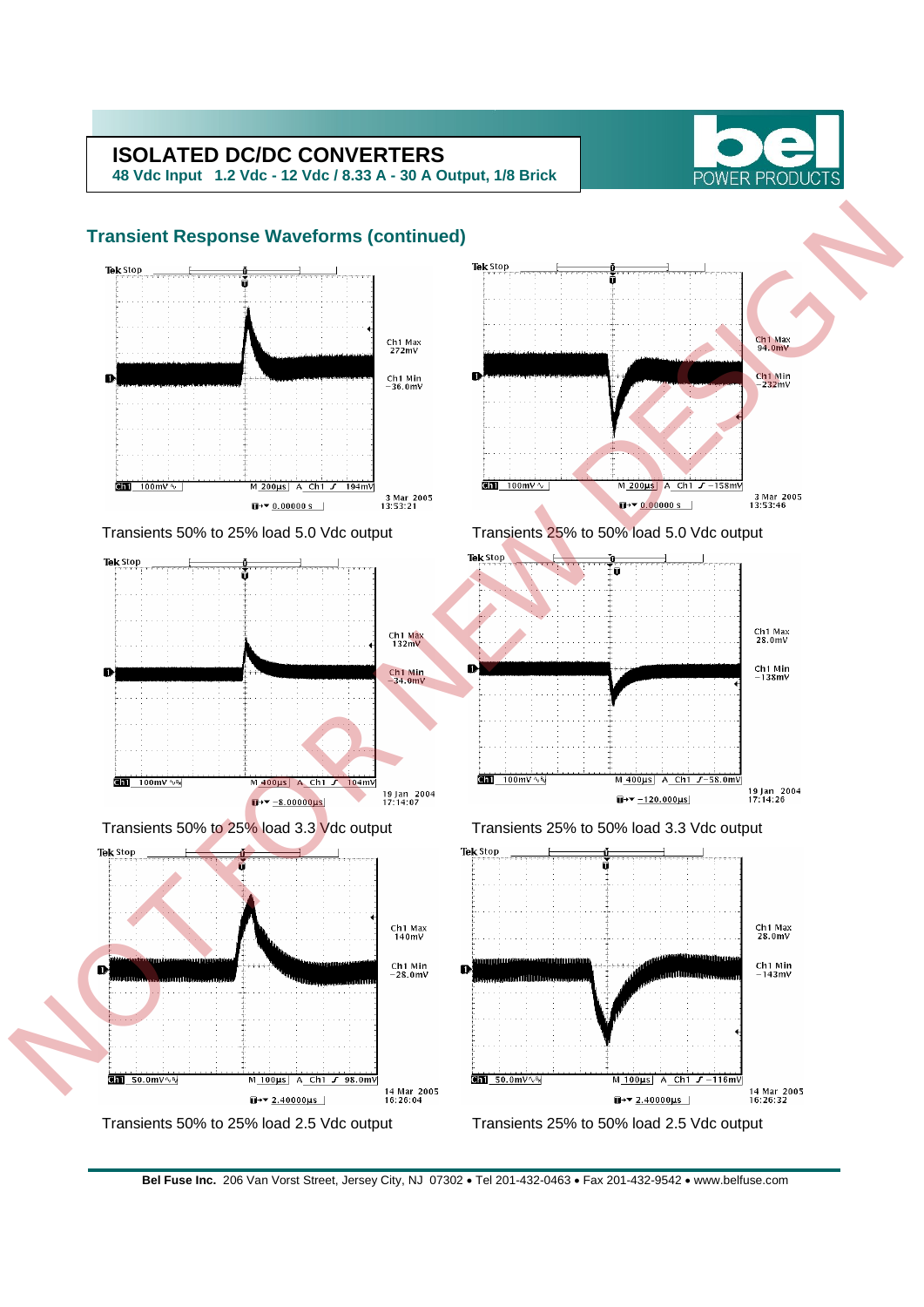**48 Vdc Input 1.2 Vdc - 12 Vdc / 8.33 A - 30 A Output, 1/8 Brick** 





**Bel Fuse Inc.** 206 Van Vorst Street, Jersey City, NJ 07302 • Tel 201-432-0463 • Fax 201-432-9542 • www.belfuse.com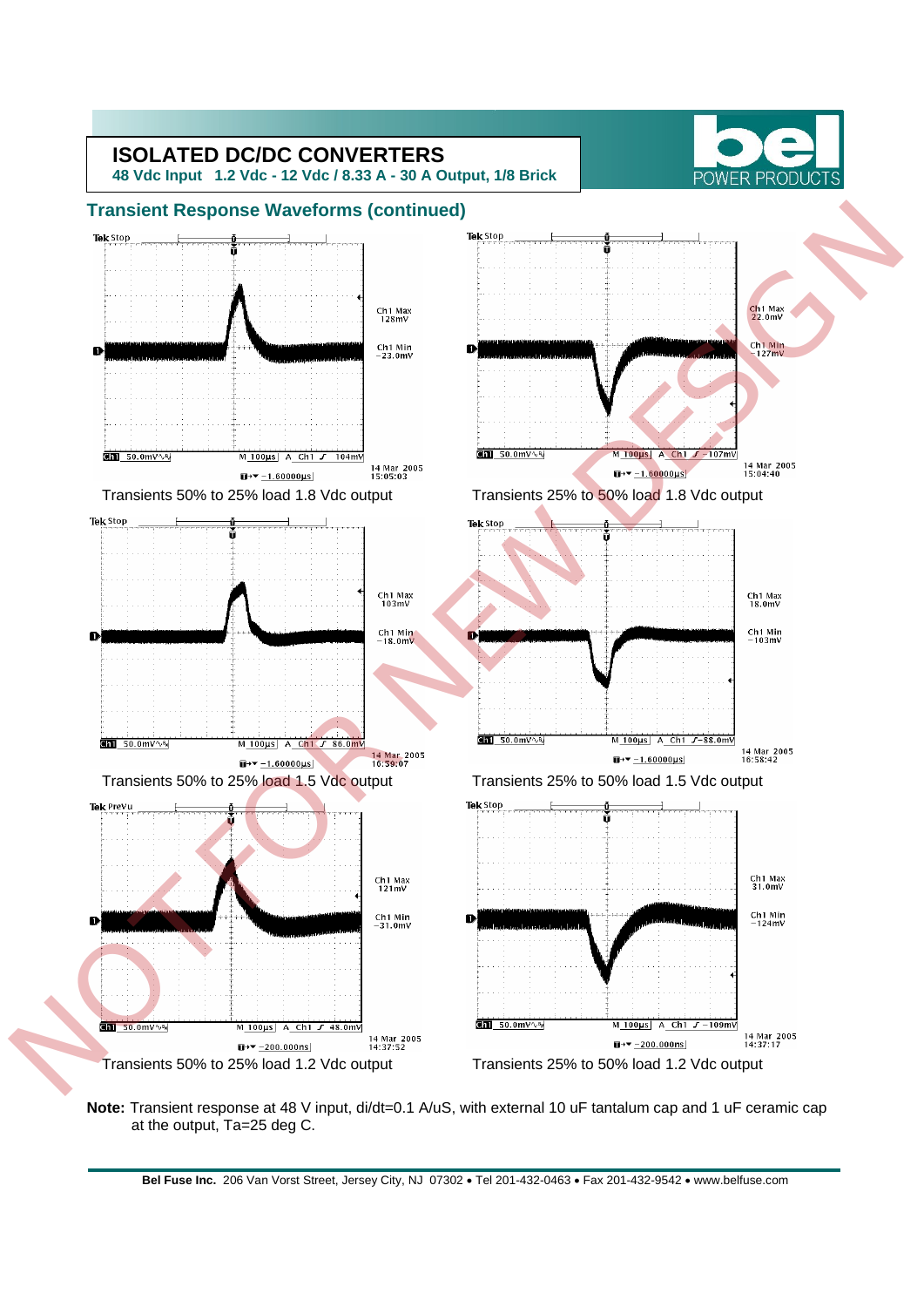

**Note:** Transient response at 48 V input, di/dt=0.1 A/uS, with external 10 uF tantalum cap and 1 uF ceramic cap at the output, Ta=25 deg C.

**Bel Fuse Inc.** 206 Van Vorst Street, Jersey City, NJ 07302 • Tel 201-432-0463 • Fax 201-432-9542 • www.belfuse.com